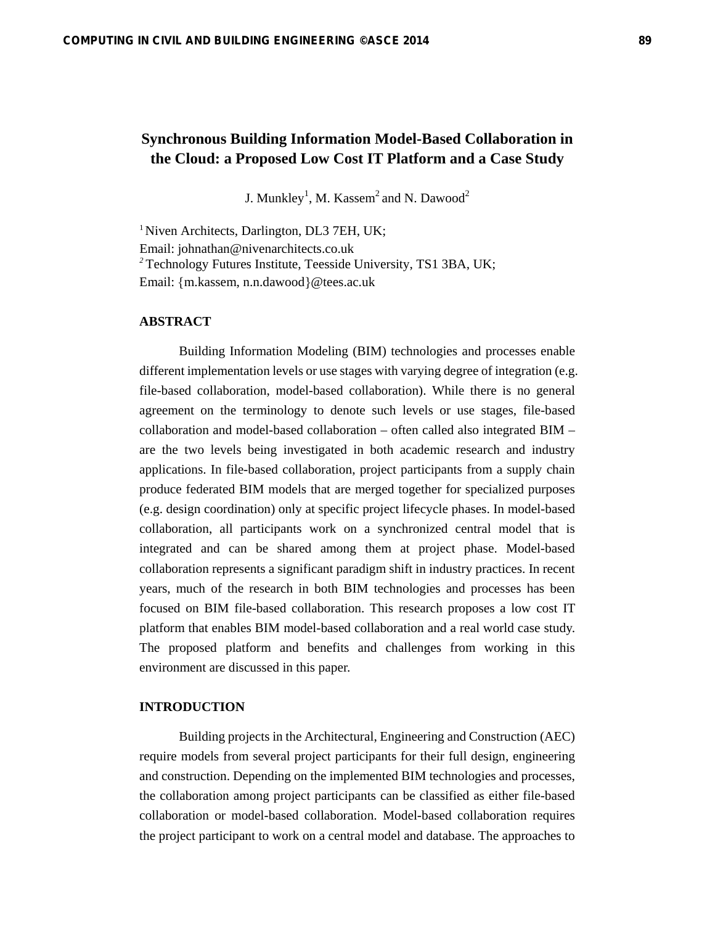# **Synchronous Building Information Model-Based Collaboration in the Cloud: a Proposed Low Cost IT Platform and a Case Study**

J. Munkley<sup>1</sup>, M. Kassem<sup>2</sup> and N. Dawood<sup>2</sup>

<sup>1</sup> Niven Architects, Darlington, DL3 7EH, UK; Email: johnathan@nivenarchitects.co.uk *<sup>2</sup>* Technology Futures Institute, Teesside University, TS1 3BA, UK; Email: {m.kassem, n.n.dawood}@tees.ac.uk

## **ABSTRACT**

Building Information Modeling (BIM) technologies and processes enable different implementation levels or use stages with varying degree of integration (e.g. file-based collaboration, model-based collaboration). While there is no general agreement on the terminology to denote such levels or use stages, file-based collaboration and model-based collaboration – often called also integrated BIM – are the two levels being investigated in both academic research and industry applications. In file-based collaboration, project participants from a supply chain produce federated BIM models that are merged together for specialized purposes (e.g. design coordination) only at specific project lifecycle phases. In model-based collaboration, all participants work on a synchronized central model that is integrated and can be shared among them at project phase. Model-based collaboration represents a significant paradigm shift in industry practices. In recent years, much of the research in both BIM technologies and processes has been focused on BIM file-based collaboration. This research proposes a low cost IT platform that enables BIM model-based collaboration and a real world case study. The proposed platform and benefits and challenges from working in this environment are discussed in this paper.

## **INTRODUCTION**

Building projects in the Architectural, Engineering and Construction (AEC) require models from several project participants for their full design, engineering and construction. Depending on the implemented BIM technologies and processes, the collaboration among project participants can be classified as either file-based collaboration or model-based collaboration. Model-based collaboration requires the project participant to work on a central model and database. The approaches to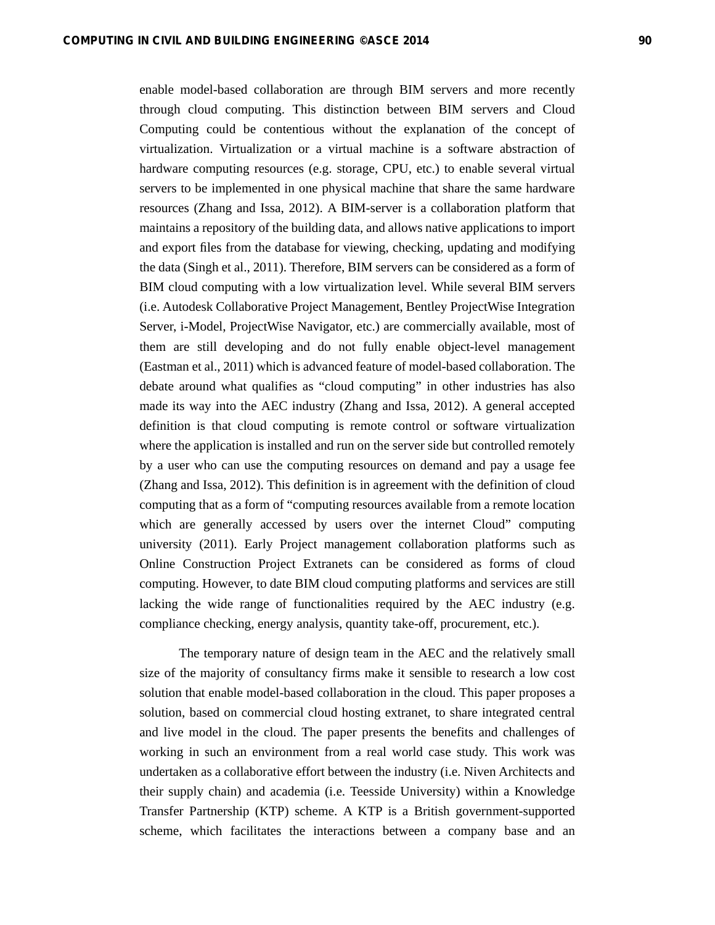enable model-based collaboration are through BIM servers and more recently through cloud computing. This distinction between BIM servers and Cloud Computing could be contentious without the explanation of the concept of virtualization. Virtualization or a virtual machine is a software abstraction of hardware computing resources (e.g. storage, CPU, etc.) to enable several virtual servers to be implemented in one physical machine that share the same hardware resources (Zhang and Issa, 2012). A BIM-server is a collaboration platform that maintains a repository of the building data, and allows native applications to import and export files from the database for viewing, checking, updating and modifying the data (Singh et al., 2011). Therefore, BIM servers can be considered as a form of BIM cloud computing with a low virtualization level. While several BIM servers (i.e. Autodesk Collaborative Project Management, Bentley ProjectWise Integration Server, i-Model, ProjectWise Navigator, etc.) are commercially available, most of them are still developing and do not fully enable object-level management (Eastman et al., 2011) which is advanced feature of model-based collaboration. The debate around what qualifies as "cloud computing" in other industries has also made its way into the AEC industry (Zhang and Issa, 2012). A general accepted definition is that cloud computing is remote control or software virtualization where the application is installed and run on the server side but controlled remotely by a user who can use the computing resources on demand and pay a usage fee (Zhang and Issa, 2012). This definition is in agreement with the definition of cloud computing that as a form of "computing resources available from a remote location which are generally accessed by users over the internet Cloud" computing university (2011). Early Project management collaboration platforms such as Online Construction Project Extranets can be considered as forms of cloud computing. However, to date BIM cloud computing platforms and services are still lacking the wide range of functionalities required by the AEC industry (e.g. compliance checking, energy analysis, quantity take-off, procurement, etc.).

The temporary nature of design team in the AEC and the relatively small size of the majority of consultancy firms make it sensible to research a low cost solution that enable model-based collaboration in the cloud. This paper proposes a solution, based on commercial cloud hosting extranet, to share integrated central and live model in the cloud. The paper presents the benefits and challenges of working in such an environment from a real world case study. This work was undertaken as a collaborative effort between the industry (i.e. Niven Architects and their supply chain) and academia (i.e. Teesside University) within a Knowledge Transfer Partnership (KTP) scheme. A KTP is a British government-supported scheme, which facilitates the interactions between a company base and an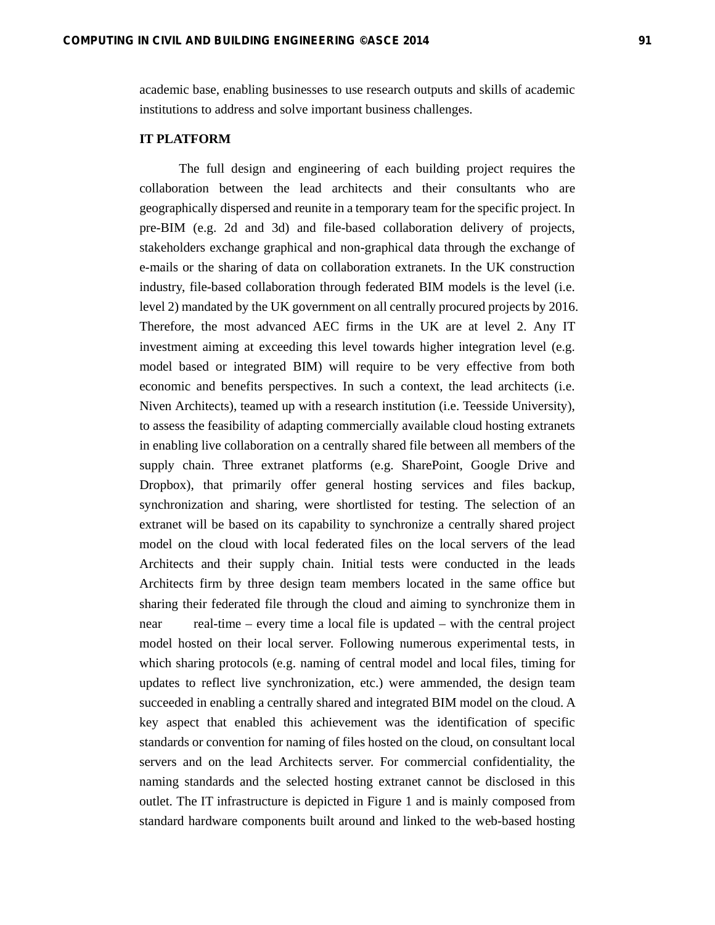academic base, enabling businesses to use research outputs and skills of academic institutions to address and solve important business challenges.

#### **IT PLATFORM**

The full design and engineering of each building project requires the collaboration between the lead architects and their consultants who are geographically dispersed and reunite in a temporary team for the specific project. In pre-BIM (e.g. 2d and 3d) and file-based collaboration delivery of projects, stakeholders exchange graphical and non-graphical data through the exchange of e-mails or the sharing of data on collaboration extranets. In the UK construction industry, file-based collaboration through federated BIM models is the level (i.e. level 2) mandated by the UK government on all centrally procured projects by 2016. Therefore, the most advanced AEC firms in the UK are at level 2. Any IT investment aiming at exceeding this level towards higher integration level (e.g. model based or integrated BIM) will require to be very effective from both economic and benefits perspectives. In such a context, the lead architects (i.e. Niven Architects), teamed up with a research institution (i.e. Teesside University), to assess the feasibility of adapting commercially available cloud hosting extranets in enabling live collaboration on a centrally shared file between all members of the supply chain. Three extranet platforms (e.g. SharePoint, Google Drive and Dropbox), that primarily offer general hosting services and files backup, synchronization and sharing, were shortlisted for testing. The selection of an extranet will be based on its capability to synchronize a centrally shared project model on the cloud with local federated files on the local servers of the lead Architects and their supply chain. Initial tests were conducted in the leads Architects firm by three design team members located in the same office but sharing their federated file through the cloud and aiming to synchronize them in near real-time – every time a local file is updated – with the central project model hosted on their local server. Following numerous experimental tests, in which sharing protocols (e.g. naming of central model and local files, timing for updates to reflect live synchronization, etc.) were ammended, the design team succeeded in enabling a centrally shared and integrated BIM model on the cloud. A key aspect that enabled this achievement was the identification of specific standards or convention for naming of files hosted on the cloud, on consultant local servers and on the lead Architects server. For commercial confidentiality, the naming standards and the selected hosting extranet cannot be disclosed in this outlet. The IT infrastructure is depicted in Figure 1 and is mainly composed from standard hardware components built around and linked to the web-based hosting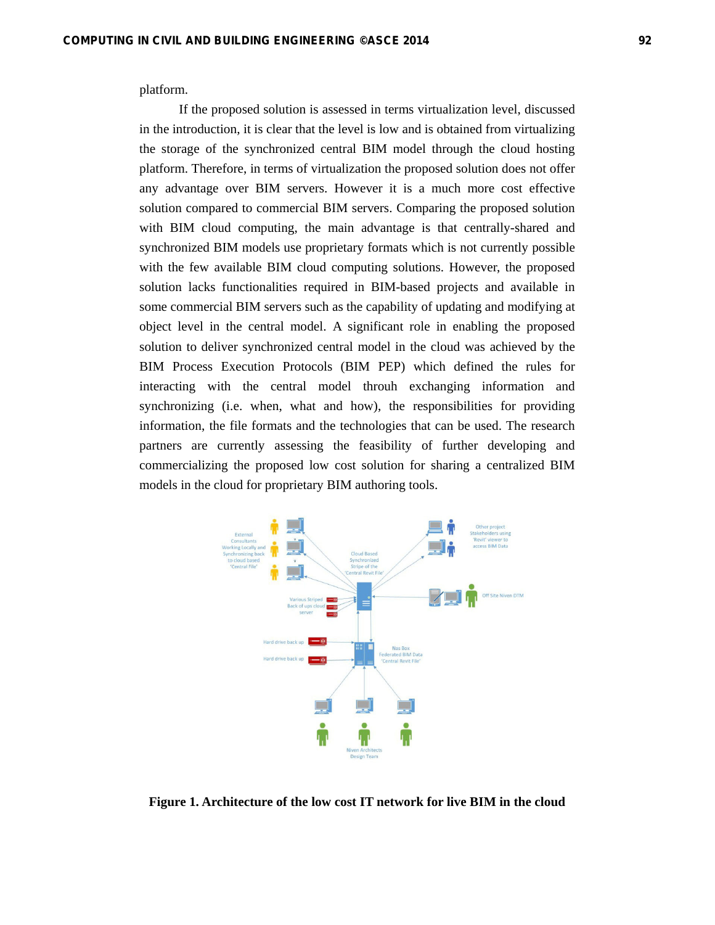platform.

If the proposed solution is assessed in terms virtualization level, discussed in the introduction, it is clear that the level is low and is obtained from virtualizing the storage of the synchronized central BIM model through the cloud hosting platform. Therefore, in terms of virtualization the proposed solution does not offer any advantage over BIM servers. However it is a much more cost effective solution compared to commercial BIM servers. Comparing the proposed solution with BIM cloud computing, the main advantage is that centrally-shared and synchronized BIM models use proprietary formats which is not currently possible with the few available BIM cloud computing solutions. However, the proposed solution lacks functionalities required in BIM-based projects and available in some commercial BIM servers such as the capability of updating and modifying at object level in the central model. A significant role in enabling the proposed solution to deliver synchronized central model in the cloud was achieved by the BIM Process Execution Protocols (BIM PEP) which defined the rules for interacting with the central model throuh exchanging information and synchronizing (i.e. when, what and how), the responsibilities for providing information, the file formats and the technologies that can be used. The research partners are currently assessing the feasibility of further developing and commercializing the proposed low cost solution for sharing a centralized BIM models in the cloud for proprietary BIM authoring tools.



**Figure 1. Architecture of the low cost IT network for live BIM in the cloud**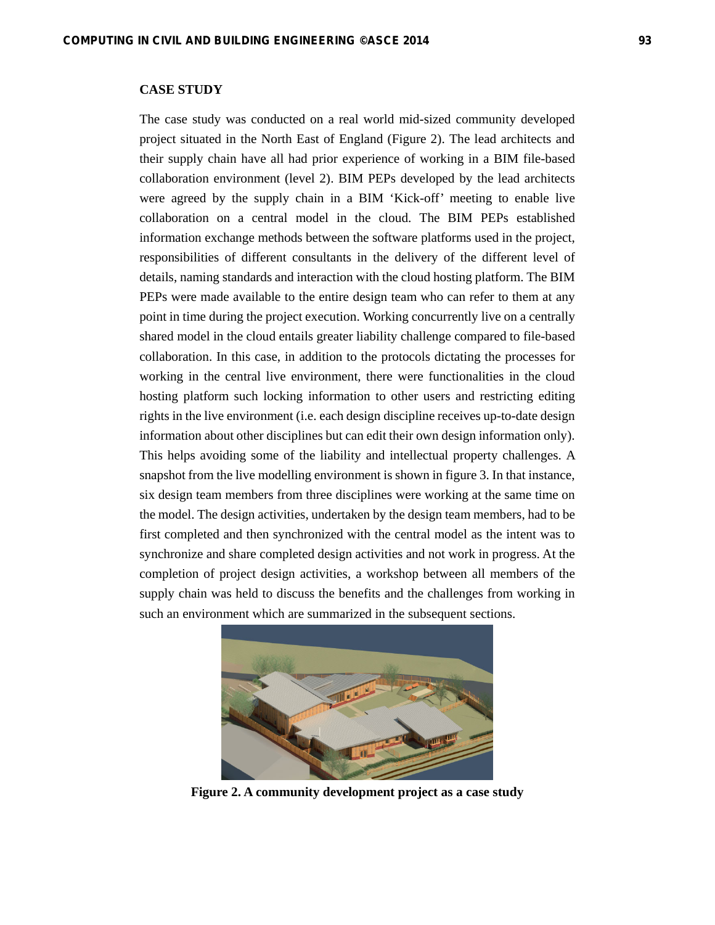## **CASE STUDY**

The case study was conducted on a real world mid-sized community developed project situated in the North East of England (Figure 2). The lead architects and their supply chain have all had prior experience of working in a BIM file-based collaboration environment (level 2). BIM PEPs developed by the lead architects were agreed by the supply chain in a BIM 'Kick-off' meeting to enable live collaboration on a central model in the cloud. The BIM PEPs established information exchange methods between the software platforms used in the project, responsibilities of different consultants in the delivery of the different level of details, naming standards and interaction with the cloud hosting platform. The BIM PEPs were made available to the entire design team who can refer to them at any point in time during the project execution. Working concurrently live on a centrally shared model in the cloud entails greater liability challenge compared to file-based collaboration. In this case, in addition to the protocols dictating the processes for working in the central live environment, there were functionalities in the cloud hosting platform such locking information to other users and restricting editing rights in the live environment (i.e. each design discipline receives up-to-date design information about other disciplines but can edit their own design information only). This helps avoiding some of the liability and intellectual property challenges. A snapshot from the live modelling environment is shown in figure 3. In that instance, six design team members from three disciplines were working at the same time on the model. The design activities, undertaken by the design team members, had to be first completed and then synchronized with the central model as the intent was to synchronize and share completed design activities and not work in progress. At the completion of project design activities, a workshop between all members of the supply chain was held to discuss the benefits and the challenges from working in such an environment which are summarized in the subsequent sections.



**Figure 2. A community development project as a case study**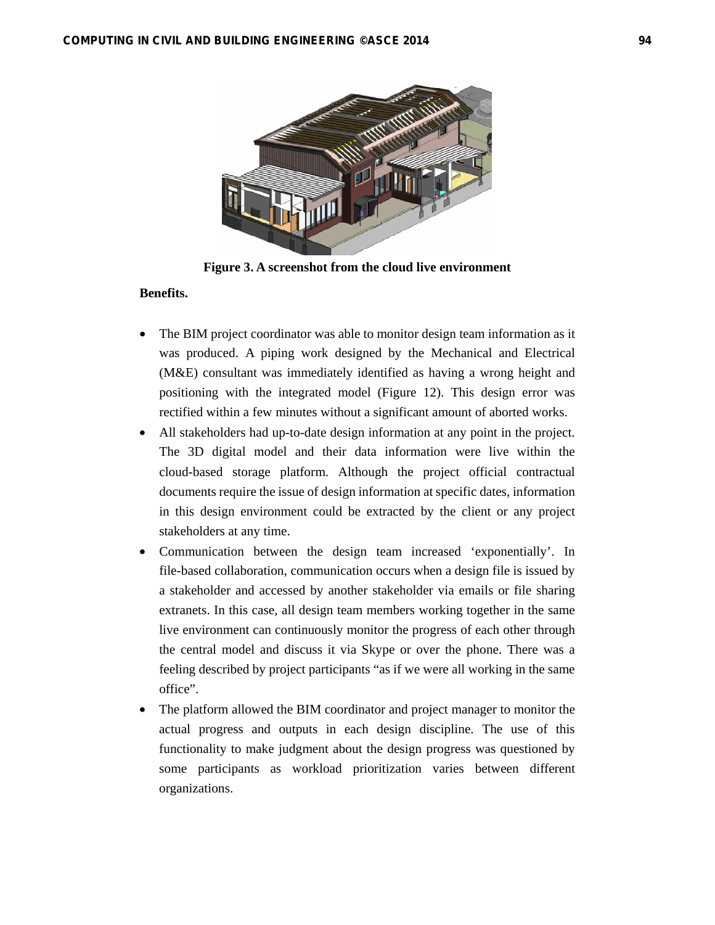

**Figure 3. A screenshot from the cloud live environment** 

#### **Benefits.**

- The BIM project coordinator was able to monitor design team information as it was produced. A piping work designed by the Mechanical and Electrical (M&E) consultant was immediately identified as having a wrong height and positioning with the integrated model (Figure 12). This design error was rectified within a few minutes without a significant amount of aborted works.
- All stakeholders had up-to-date design information at any point in the project. The 3D digital model and their data information were live within the cloud-based storage platform. Although the project official contractual documents require the issue of design information at specific dates, information in this design environment could be extracted by the client or any project stakeholders at any time.
- Communication between the design team increased 'exponentially'. In file-based collaboration, communication occurs when a design file is issued by a stakeholder and accessed by another stakeholder via emails or file sharing extranets. In this case, all design team members working together in the same live environment can continuously monitor the progress of each other through the central model and discuss it via Skype or over the phone. There was a feeling described by project participants "as if we were all working in the same office".
- The platform allowed the BIM coordinator and project manager to monitor the actual progress and outputs in each design discipline. The use of this functionality to make judgment about the design progress was questioned by some participants as workload prioritization varies between different organizations.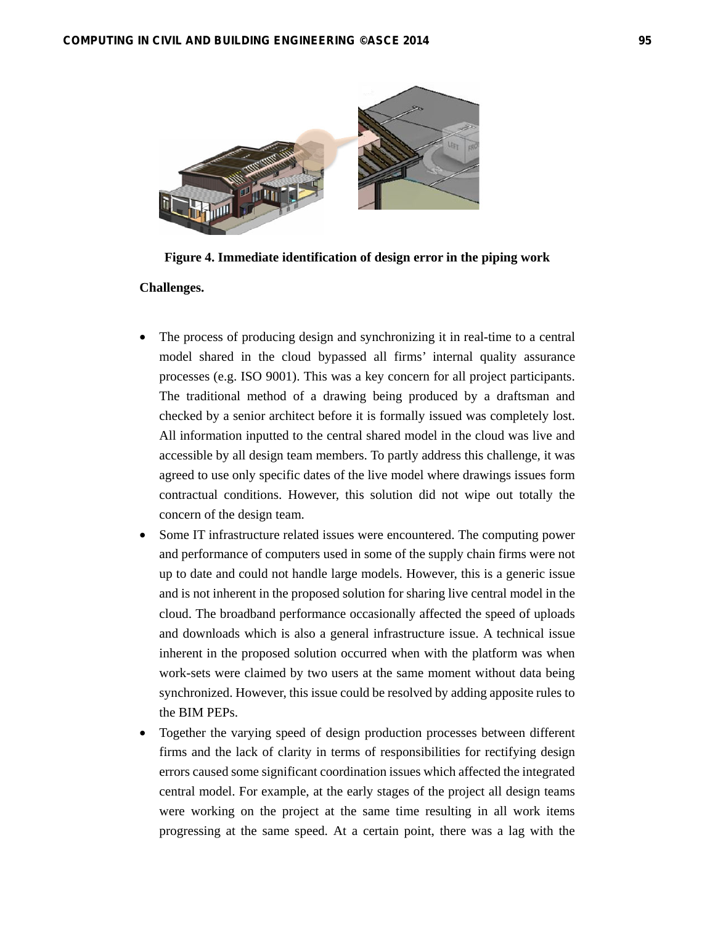**Challenges.** 



**Figure 4. Immediate identification of design error in the piping work**

- The process of producing design and synchronizing it in real-time to a central model shared in the cloud bypassed all firms' internal quality assurance processes (e.g. ISO 9001). This was a key concern for all project participants. The traditional method of a drawing being produced by a draftsman and checked by a senior architect before it is formally issued was completely lost. All information inputted to the central shared model in the cloud was live and accessible by all design team members. To partly address this challenge, it was agreed to use only specific dates of the live model where drawings issues form contractual conditions. However, this solution did not wipe out totally the concern of the design team.
- Some IT infrastructure related issues were encountered. The computing power and performance of computers used in some of the supply chain firms were not up to date and could not handle large models. However, this is a generic issue and is not inherent in the proposed solution for sharing live central model in the cloud. The broadband performance occasionally affected the speed of uploads and downloads which is also a general infrastructure issue. A technical issue inherent in the proposed solution occurred when with the platform was when work-sets were claimed by two users at the same moment without data being synchronized. However, this issue could be resolved by adding apposite rules to the BIM PEPs.
- Together the varying speed of design production processes between different firms and the lack of clarity in terms of responsibilities for rectifying design errors caused some significant coordination issues which affected the integrated central model. For example, at the early stages of the project all design teams were working on the project at the same time resulting in all work items progressing at the same speed. At a certain point, there was a lag with the